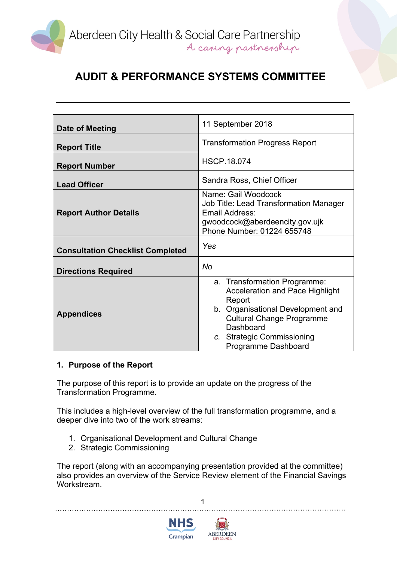

| Date of Meeting                         | 11 September 2018                                                                                                                                                                                                    |
|-----------------------------------------|----------------------------------------------------------------------------------------------------------------------------------------------------------------------------------------------------------------------|
| <b>Report Title</b>                     | <b>Transformation Progress Report</b>                                                                                                                                                                                |
| <b>Report Number</b>                    | <b>HSCP.18.074</b>                                                                                                                                                                                                   |
| <b>Lead Officer</b>                     | Sandra Ross, Chief Officer                                                                                                                                                                                           |
| <b>Report Author Details</b>            | Name: Gail Woodcock<br><b>Job Title: Lead Transformation Manager</b><br>Email Address:<br>gwoodcock@aberdeencity.gov.ujk<br>Phone Number: 01224 655748                                                               |
| <b>Consultation Checklist Completed</b> | Yes                                                                                                                                                                                                                  |
| <b>Directions Required</b>              | No                                                                                                                                                                                                                   |
| <b>Appendices</b>                       | a. Transformation Programme:<br>Acceleration and Pace Highlight<br>Report<br>b. Organisational Development and<br><b>Cultural Change Programme</b><br>Dashboard<br>c. Strategic Commissioning<br>Programme Dashboard |

### **1. Purpose of the Report**

The purpose of this report is to provide an update on the progress of the Transformation Programme.

This includes a high-level overview of the full transformation programme, and a deeper dive into two of the work streams:

- 1. Organisational Development and Cultural Change
- 2. Strategic Commissioning

The report (along with an accompanying presentation provided at the committee) also provides an overview of the Service Review element of the Financial Savings Workstream.

1



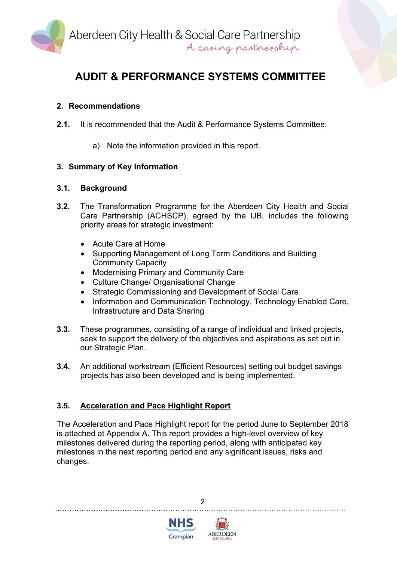

### **2. Recommendations**

- **2.1.** It is recommended that the Audit & Performance Systems Committee:
	- a) Note the information provided in this report.

### **3. Summary of Key Information**

#### **3.1. Background**

- **3.2.** The Transformation Programme for the Aberdeen City Health and Social Care Partnership (ACHSCP), agreed by the IJB, includes the following priority areas for strategic investment:
	- Acute Care at Home
	- Supporting Management of Long Term Conditions and Building Community Capacity
	- Modernising Primary and Community Care
	- Culture Change/ Organisational Change
	- Strategic Commissioning and Development of Social Care
	- Information and Communication Technology, Technology Enabled Care, Infrastructure and Data Sharing
- **3.3.** These programmes, consisting of a range of individual and linked projects, seek to support the delivery of the objectives and aspirations as set out in our Strategic Plan.
- **3.4.** An additional workstream (Efficient Resources) setting out budget savings projects has also been developed and is being implemented.

### **3.5. Acceleration and Pace Highlight Report**

The Acceleration and Pace Highlight report for the period June to September 2018 is attached at Appendix A. This report provides a high-level overview of key milestones delivered during the reporting period, along with anticipated key milestones in the next reporting period and any significant issues, risks and changes.

 $\mathfrak{p}$ 



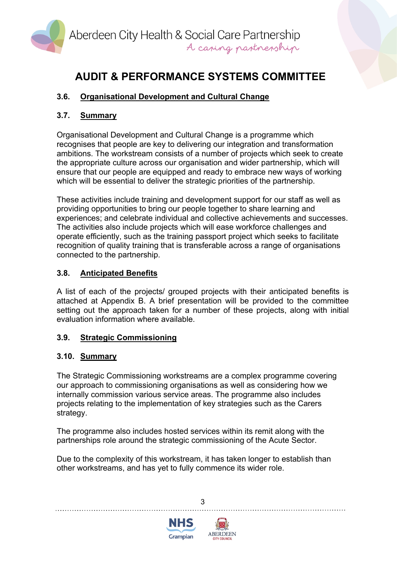

## **3.6. Organisational Development and Cultural Change**

## **3.7. Summary**

Organisational Development and Cultural Change is a programme which recognises that people are key to delivering our integration and transformation ambitions. The workstream consists of a number of projects which seek to create the appropriate culture across our organisation and wider partnership, which will ensure that our people are equipped and ready to embrace new ways of working which will be essential to deliver the strategic priorities of the partnership.

These activities include training and development support for our staff as well as providing opportunities to bring our people together to share learning and experiences; and celebrate individual and collective achievements and successes. The activities also include projects which will ease workforce challenges and operate efficiently, such as the training passport project which seeks to facilitate recognition of quality training that is transferable across a range of organisations connected to the partnership.

## **3.8. Anticipated Benefits**

A list of each of the projects/ grouped projects with their anticipated benefits is attached at Appendix B. A brief presentation will be provided to the committee setting out the approach taken for a number of these projects, along with initial evaluation information where available.

### **3.9. Strategic Commissioning**

### **3.10. Summary**

The Strategic Commissioning workstreams are a complex programme covering our approach to commissioning organisations as well as considering how we internally commission various service areas. The programme also includes projects relating to the implementation of key strategies such as the Carers strategy.

The programme also includes hosted services within its remit along with the partnerships role around the strategic commissioning of the Acute Sector.

Due to the complexity of this workstream, it has taken longer to establish than other workstreams, and has yet to fully commence its wider role.





3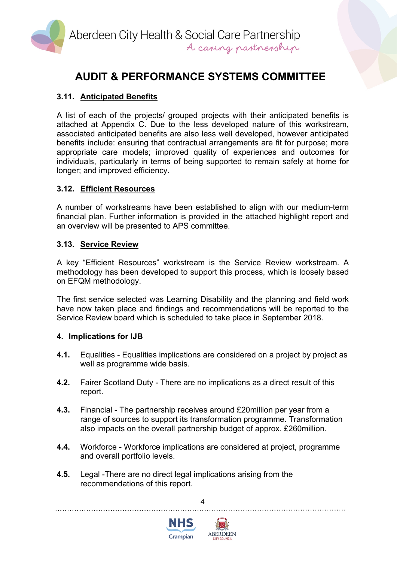

## **3.11. Anticipated Benefits**

A list of each of the projects/ grouped projects with their anticipated benefits is attached at Appendix C. Due to the less developed nature of this workstream, associated anticipated benefits are also less well developed, however anticipated benefits include: ensuring that contractual arrangements are fit for purpose; more appropriate care models; improved quality of experiences and outcomes for individuals, particularly in terms of being supported to remain safely at home for longer; and improved efficiency.

### **3.12. Efficient Resources**

A number of workstreams have been established to align with our medium-term financial plan. Further information is provided in the attached highlight report and an overview will be presented to APS committee.

### **3.13. Service Review**

A key "Efficient Resources" workstream is the Service Review workstream. A methodology has been developed to support this process, which is loosely based on EFQM methodology.

The first service selected was Learning Disability and the planning and field work have now taken place and findings and recommendations will be reported to the Service Review board which is scheduled to take place in September 2018.

#### **4. Implications for IJB**

- **4.1.** Equalities Equalities implications are considered on a project by project as well as programme wide basis.
- **4.2.** Fairer Scotland Duty There are no implications as a direct result of this report.
- **4.3.** Financial The partnership receives around £20million per year from a range of sources to support its transformation programme. Transformation also impacts on the overall partnership budget of approx. £260million.
- **4.4.** Workforce Workforce implications are considered at project, programme and overall portfolio levels.

4

**4.5.** Legal -There are no direct legal implications arising from the recommendations of this report.